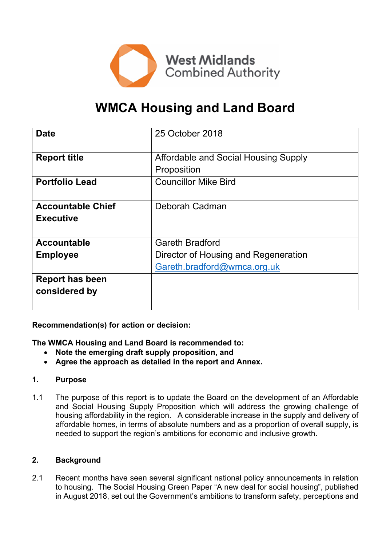

# **WMCA Housing and Land Board**

| <b>Date</b>              | 25 October 2018                      |  |  |
|--------------------------|--------------------------------------|--|--|
| <b>Report title</b>      | Affordable and Social Housing Supply |  |  |
|                          | Proposition                          |  |  |
| <b>Portfolio Lead</b>    | <b>Councillor Mike Bird</b>          |  |  |
|                          |                                      |  |  |
| <b>Accountable Chief</b> | Deborah Cadman                       |  |  |
| <b>Executive</b>         |                                      |  |  |
|                          |                                      |  |  |
| <b>Accountable</b>       | <b>Gareth Bradford</b>               |  |  |
| <b>Employee</b>          | Director of Housing and Regeneration |  |  |
|                          | Gareth.bradford@wmca.org.uk          |  |  |
| <b>Report has been</b>   |                                      |  |  |
| considered by            |                                      |  |  |
|                          |                                      |  |  |

**Recommendation(s) for action or decision:**

**The WMCA Housing and Land Board is recommended to:**

- **Note the emerging draft supply proposition, and**
- **Agree the approach as detailed in the report and Annex.**

# **1. Purpose**

1.1 The purpose of this report is to update the Board on the development of an Affordable and Social Housing Supply Proposition which will address the growing challenge of housing affordability in the region. A considerable increase in the supply and delivery of affordable homes, in terms of absolute numbers and as a proportion of overall supply, is needed to support the region's ambitions for economic and inclusive growth.

#### **2. Background**

2.1 Recent months have seen several significant national policy announcements in relation to housing. The Social Housing Green Paper "A new deal for social housing", published in August 2018, set out the Government's ambitions to transform safety, perceptions and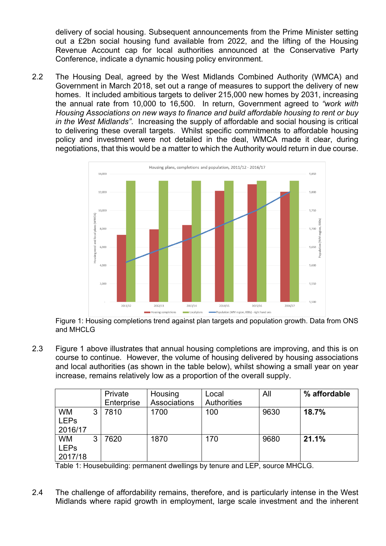delivery of social housing. Subsequent announcements from the Prime Minister setting out a £2bn social housing fund available from 2022, and the lifting of the Housing Revenue Account cap for local authorities announced at the Conservative Party Conference, indicate a dynamic housing policy environment.

2.2 The Housing Deal, agreed by the West Midlands Combined Authority (WMCA) and Government in March 2018, set out a range of measures to support the delivery of new homes. It included ambitious targets to deliver 215,000 new homes by 2031, increasing the annual rate from 10,000 to 16,500. In return, Government agreed to *"work with Housing Associations on new ways to finance and build affordable housing to rent or buy in the West Midlands"*. Increasing the supply of affordable and social housing is critical to delivering these overall targets. Whilst specific commitments to affordable housing policy and investment were not detailed in the deal, WMCA made it clear, during negotiations, that this would be a matter to which the Authority would return in due course.



Figure 1: Housing completions trend against plan targets and population growth. Data from ONS and MHCLG

2.3 Figure 1 above illustrates that annual housing completions are improving, and this is on course to continue. However, the volume of housing delivered by housing associations and local authorities (as shown in the table below), whilst showing a small year on year increase, remains relatively low as a proportion of the overall supply.

|                                     |   | Private<br>Enterprise | Housing<br>Associations | Local<br>Authorities | All  | % affordable |
|-------------------------------------|---|-----------------------|-------------------------|----------------------|------|--------------|
| <b>WM</b><br><b>LEPs</b><br>2016/17 | 3 | 7810                  | 1700                    | 100                  | 9630 | 18.7%        |
| <b>WM</b><br><b>LEPs</b><br>2017/18 | 3 | 7620                  | 1870                    | 170                  | 9680 | 21.1%        |

Table 1: Housebuilding: permanent dwellings by tenure and LEP, source MHCLG.

2.4 The challenge of affordability remains, therefore, and is particularly intense in the West Midlands where rapid growth in employment, large scale investment and the inherent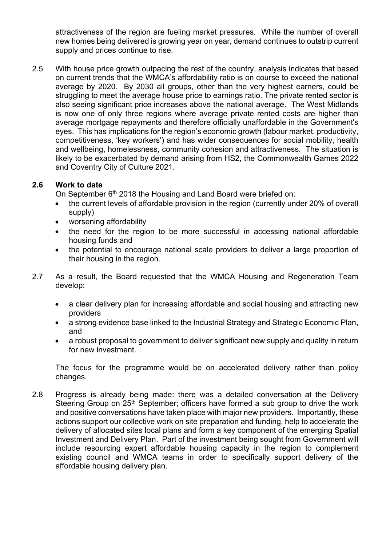attractiveness of the region are fueling market pressures. While the number of overall new homes being delivered is growing year on year, demand continues to outstrip current supply and prices continue to rise.

2.5 With house price growth outpacing the rest of the country, analysis indicates that based on current trends that the WMCA's affordability ratio is on course to exceed the national average by 2020. By 2030 all groups, other than the very highest earners, could be struggling to meet the average house price to earnings ratio. The private rented sector is also seeing significant price increases above the national average. The West Midlands is now one of only three regions where average private rented costs are higher than average mortgage repayments and therefore officially unaffordable in the Government's eyes. This has implications for the region's economic growth (labour market, productivity, competitiveness, 'key workers') and has wider consequences for social mobility, health and wellbeing, homelessness, community cohesion and attractiveness. The situation is likely to be exacerbated by demand arising from HS2, the Commonwealth Games 2022 and Coventry City of Culture 2021.

# **2.6 Work to date**

On September 6<sup>th</sup> 2018 the Housing and Land Board were briefed on:

- the current levels of affordable provision in the region (currently under 20% of overall supply)
- worsening affordability
- the need for the region to be more successful in accessing national affordable housing funds and
- the potential to encourage national scale providers to deliver a large proportion of their housing in the region.
- 2.7 As a result, the Board requested that the WMCA Housing and Regeneration Team develop:
	- a clear delivery plan for increasing affordable and social housing and attracting new providers
	- a strong evidence base linked to the Industrial Strategy and Strategic Economic Plan, and
	- a robust proposal to government to deliver significant new supply and quality in return for new investment.

The focus for the programme would be on accelerated delivery rather than policy changes.

2.8 Progress is already being made: there was a detailed conversation at the Delivery Steering Group on 25<sup>th</sup> September; officers have formed a sub group to drive the work and positive conversations have taken place with major new providers. Importantly, these actions support our collective work on site preparation and funding, help to accelerate the delivery of allocated sites local plans and form a key component of the emerging Spatial Investment and Delivery Plan. Part of the investment being sought from Government will include resourcing expert affordable housing capacity in the region to complement existing council and WMCA teams in order to specifically support delivery of the affordable housing delivery plan.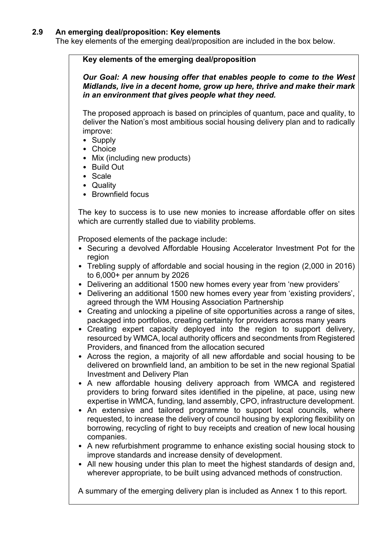#### **2.9 An emerging deal/proposition: Key elements**

The key elements of the emerging deal/proposition are included in the box below.

## **Key elements of the emerging deal/proposition**

*Our Goal: A new housing offer that enables people to come to the West Midlands, live in a decent home, grow up here, thrive and make their mark in an environment that gives people what they need.*

The proposed approach is based on principles of quantum, pace and quality, to deliver the Nation's most ambitious social housing delivery plan and to radically improve:

- Supply
- Choice
- Mix (including new products)
- Build Out
- Scale
- Quality
- Brownfield focus

The key to success is to use new monies to increase affordable offer on sites which are currently stalled due to viability problems.

Proposed elements of the package include:

- Securing a devolved Affordable Housing Accelerator Investment Pot for the region
- Trebling supply of affordable and social housing in the region (2,000 in 2016) to 6,000+ per annum by 2026
- Delivering an additional 1500 new homes every year from 'new providers'
- Delivering an additional 1500 new homes every year from 'existing providers', agreed through the WM Housing Association Partnership
- Creating and unlocking a pipeline of site opportunities across a range of sites, packaged into portfolios, creating certainty for providers across many years
- Creating expert capacity deployed into the region to support delivery, resourced by WMCA, local authority officers and secondments from Registered Providers, and financed from the allocation secured
- Across the region, a majority of all new affordable and social housing to be delivered on brownfield land, an ambition to be set in the new regional Spatial Investment and Delivery Plan
- A new affordable housing delivery approach from WMCA and registered providers to bring forward sites identified in the pipeline, at pace, using new expertise in WMCA, funding, land assembly, CPO, infrastructure development.
- An extensive and tailored programme to support local councils, where requested, to increase the delivery of council housing by exploring flexibility on borrowing, recycling of right to buy receipts and creation of new local housing companies.
- A new refurbishment programme to enhance existing social housing stock to improve standards and increase density of development.
- All new housing under this plan to meet the highest standards of design and. wherever appropriate, to be built using advanced methods of construction.

A summary of the emerging delivery plan is included as Annex 1 to this report.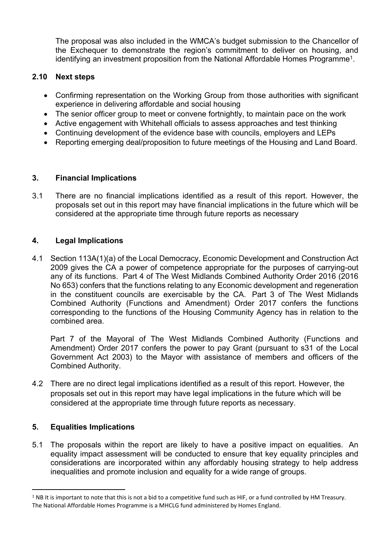The proposal was also included in the WMCA's budget submission to the Chancellor of the Exchequer to demonstrate the region's commitment to deliver on housing, and identifying an investment proposition from the National Affordable Homes Programme<sup>1</sup>.

# **2.10 Next steps**

- Confirming representation on the Working Group from those authorities with significant experience in delivering affordable and social housing
- The senior officer group to meet or convene fortnightly, to maintain pace on the work
- Active engagement with Whitehall officials to assess approaches and test thinking
- Continuing development of the evidence base with councils, employers and LEPs
- Reporting emerging deal/proposition to future meetings of the Housing and Land Board.

## **3. Financial Implications**

3.1 There are no financial implications identified as a result of this report. However, the proposals set out in this report may have financial implications in the future which will be considered at the appropriate time through future reports as necessary

## **4. Legal Implications**

4.1 Section 113A(1)(a) of the Local Democracy, Economic Development and Construction Act 2009 gives the CA a power of competence appropriate for the purposes of carrying-out any of its functions. Part 4 of The West Midlands Combined Authority Order 2016 (2016 No 653) confers that the functions relating to any Economic development and regeneration in the constituent councils are exercisable by the CA. Part 3 of The West Midlands Combined Authority (Functions and Amendment) Order 2017 confers the functions corresponding to the functions of the Housing Community Agency has in relation to the combined area.

Part 7 of the Mayoral of The West Midlands Combined Authority (Functions and Amendment) Order 2017 confers the power to pay Grant (pursuant to s31 of the Local Government Act 2003) to the Mayor with assistance of members and officers of the Combined Authority.

4.2 There are no direct legal implications identified as a result of this report. However, the proposals set out in this report may have legal implications in the future which will be considered at the appropriate time through future reports as necessary.

# **5. Equalities Implications**

5.1 The proposals within the report are likely to have a positive impact on equalities. An equality impact assessment will be conducted to ensure that key equality principles and considerations are incorporated within any affordably housing strategy to help address inequalities and promote inclusion and equality for a wide range of groups.

 $1$  NB It is important to note that this is not a bid to a competitive fund such as HIF, or a fund controlled by HM Treasury. The National Affordable Homes Programme is a MHCLG fund administered by Homes England.